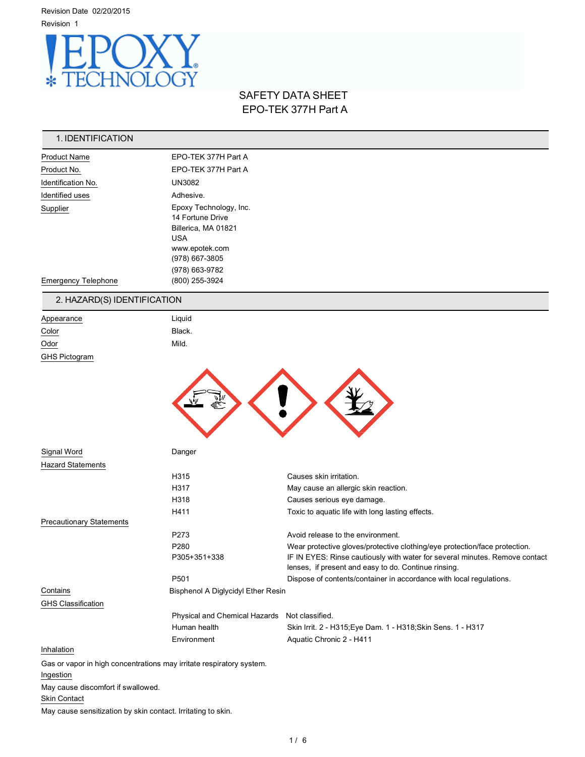Revision Date 02/20/2015 Revision 1



# SAFETY DATA SHEET EPO-TEK 377H Part A

| 1. IDENTIFICATION                  |                                                                      |                                                                                                                                     |
|------------------------------------|----------------------------------------------------------------------|-------------------------------------------------------------------------------------------------------------------------------------|
| <b>Product Name</b>                | EPO-TEK 377H Part A                                                  |                                                                                                                                     |
| Product No.                        | EPO-TEK 377H Part A                                                  |                                                                                                                                     |
| Identification No.                 | <b>UN3082</b>                                                        |                                                                                                                                     |
| Identified uses                    | Adhesive.                                                            |                                                                                                                                     |
| Supplier                           | Epoxy Technology, Inc.                                               |                                                                                                                                     |
|                                    | 14 Fortune Drive                                                     |                                                                                                                                     |
|                                    | Billerica, MA 01821<br><b>USA</b>                                    |                                                                                                                                     |
|                                    | www.epotek.com                                                       |                                                                                                                                     |
|                                    | (978) 667-3805                                                       |                                                                                                                                     |
|                                    | (978) 663-9782                                                       |                                                                                                                                     |
| <b>Emergency Telephone</b>         | (800) 255-3924                                                       |                                                                                                                                     |
| 2. HAZARD(S) IDENTIFICATION        |                                                                      |                                                                                                                                     |
| Appearance                         | Liquid                                                               |                                                                                                                                     |
| Color                              | Black.                                                               |                                                                                                                                     |
| Odor                               | Mild.                                                                |                                                                                                                                     |
| <b>GHS Pictogram</b>               |                                                                      |                                                                                                                                     |
| Signal Word                        | Danger                                                               |                                                                                                                                     |
| <b>Hazard Statements</b>           |                                                                      |                                                                                                                                     |
|                                    | H315                                                                 | Causes skin irritation.                                                                                                             |
|                                    | H317                                                                 | May cause an allergic skin reaction.                                                                                                |
|                                    | H318<br>H411                                                         | Causes serious eye damage.<br>Toxic to aquatic life with long lasting effects.                                                      |
| <b>Precautionary Statements</b>    |                                                                      |                                                                                                                                     |
|                                    | P273                                                                 | Avoid release to the environment.                                                                                                   |
|                                    | P280                                                                 | Wear protective gloves/protective clothing/eye protection/face protection.                                                          |
|                                    | P305+351+338                                                         | IF IN EYES: Rinse cautiously with water for several minutes. Remove contact<br>lenses, if present and easy to do. Continue rinsing. |
|                                    | P501                                                                 | Dispose of contents/container in accordance with local regulations.                                                                 |
| Contains                           | <b>Bisphenol A Diglycidyl Ether Resin</b>                            |                                                                                                                                     |
| <b>GHS Classification</b>          |                                                                      |                                                                                                                                     |
|                                    | Physical and Chemical Hazards Not classified.                        |                                                                                                                                     |
|                                    | Human health                                                         | Skin Irrit. 2 - H315; Eye Dam. 1 - H318; Skin Sens. 1 - H317                                                                        |
| Inhalation                         | Environment                                                          | Aquatic Chronic 2 - H411                                                                                                            |
|                                    | Gas or vapor in high concentrations may irritate respiratory system. |                                                                                                                                     |
| Ingestion                          |                                                                      |                                                                                                                                     |
| May cause discomfort if swallowed. |                                                                      |                                                                                                                                     |
| <b>Skin Contact</b>                |                                                                      |                                                                                                                                     |

May cause sensitization by skin contact. Irritating to skin.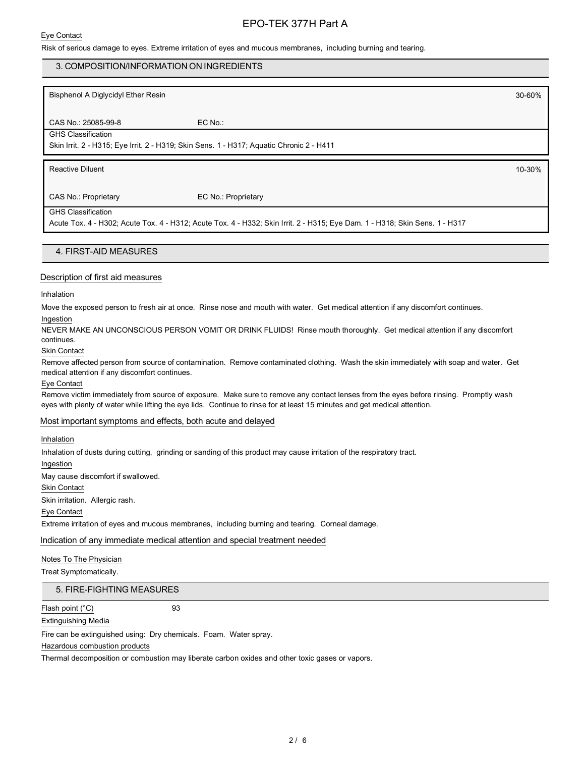### Eye Contact

# EPO-TEK 377H Part A

Risk of serious damage to eyes. Extreme irritation of eyes and mucous membranes, including burning and tearing.

### 3. COMPOSITION/INFORMATION ON INGREDIENTS

Bisphenol A Diglycidyl Ether Resin 30-60%

CAS No.: 25085-99-8 EC No.: GHS Classification

Skin Irrit. 2 - H315; Eye Irrit. 2 - H319; Skin Sens. 1 - H317; Aquatic Chronic 2 - H411

Reactive Diluent 10-30%

CAS No.: Proprietary EC No.: Proprietary

#### GHS Classification

Acute Tox. 4 - H302; Acute Tox. 4 - H312; Acute Tox. 4 - H332; Skin Irrit. 2 - H315; Eye Dam. 1 - H318; Skin Sens. 1 - H317

### 4. FIRST-AID MEASURES

### Description of first aid measures

#### Inhalation

Move the exposed person to fresh air at once. Rinse nose and mouth with water. Get medical attention if any discomfort continues.

#### Ingestion

NEVER MAKE AN UNCONSCIOUS PERSON VOMIT OR DRINK FLUIDS! Rinse mouth thoroughly. Get medical attention if any discomfort continues.

#### Skin Contact

Remove affected person from source of contamination. Remove contaminated clothing. Wash the skin immediately with soap and water. Get medical attention if any discomfort continues.

#### Eye Contact

Remove victim immediately from source of exposure. Make sure to remove any contact lenses from the eyes before rinsing. Promptly wash eyes with plenty of water while lifting the eye lids. Continue to rinse for at least 15 minutes and get medical attention.

### Most important symptoms and effects, both acute and delayed

### Inhalation

Inhalation of dusts during cutting, grinding or sanding of this product may cause irritation of the respiratory tract.

Ingestion

May cause discomfort if swallowed.

#### Skin Contact

Skin irritation. Allergic rash.

### Eye Contact

Extreme irritation of eyes and mucous membranes, including burning and tearing. Corneal damage.

Indication of any immediate medical attention and special treatment needed

### Notes To The Physician

Treat Symptomatically.

### 5. FIRE-FIGHTING MEASURES

### Flash point (°C) 93

### Extinguishing Media

Fire can be extinguished using: Dry chemicals. Foam. Water spray.

Hazardous combustion products

Thermal decomposition or combustion may liberate carbon oxides and other toxic gases or vapors.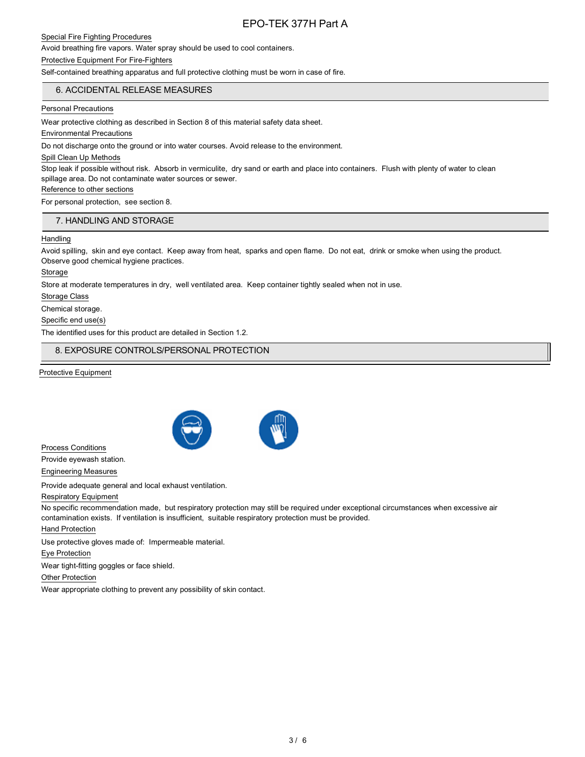### Special Fire Fighting Procedures

Avoid breathing fire vapors. Water spray should be used to cool containers.

#### Protective Equipment For Fire-Fighters

Self-contained breathing apparatus and full protective clothing must be worn in case of fire.

# 6. ACCIDENTAL RELEASE MEASURES

### Personal Precautions

Wear protective clothing as described in Section 8 of this material safety data sheet.

Environmental Precautions

Do not discharge onto the ground or into water courses. Avoid release to the environment.

#### Spill Clean Up Methods

Stop leak if possible without risk. Absorb in vermiculite, dry sand or earth and place into containers. Flush with plenty of water to clean spillage area. Do not contaminate water sources or sewer.

### Reference to other sections

For personal protection, see section 8.

## 7. HANDLING AND STORAGE

### **Handling**

Avoid spilling, skin and eye contact. Keep away from heat, sparks and open flame. Do not eat, drink or smoke when using the product. Observe good chemical hygiene practices.

Storage

Store at moderate temperatures in dry, well ventilated area. Keep container tightly sealed when not in use.

Storage Class

Chemical storage.

Specific end use(s)

The identified uses for this product are detailed in Section 1.2.

## 8. EXPOSURE CONTROLS/PERSONAL PROTECTION

Protective Equipment



Process Conditions Provide eyewash station. Engineering Measures

Provide adequate general and local exhaust ventilation.

# Respiratory Equipment

No specific recommendation made, but respiratory protection may still be required under exceptional circumstances when excessive air contamination exists. If ventilation is insufficient, suitable respiratory protection must be provided.

Hand Protection

Use protective gloves made of: Impermeable material.

Eye Protection

Wear tight-fitting goggles or face shield.

Other Protection

Wear appropriate clothing to prevent any possibility of skin contact.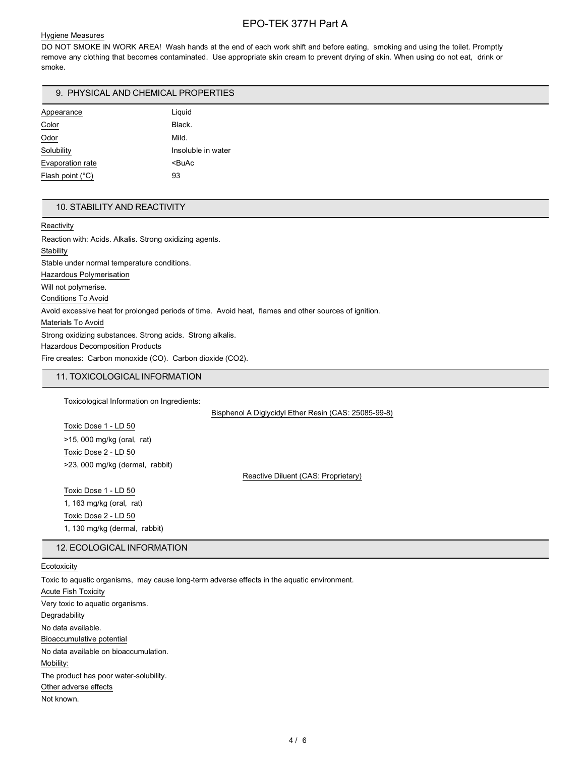### Hygiene Measures

DO NOT SMOKE IN WORK AREA! Wash hands at the end of each work shift and before eating, smoking and using the toilet. Promptly remove any clothing that becomes contaminated. Use appropriate skin cream to prevent drying of skin. When using do not eat, drink or smoke.

### 9. PHYSICAL AND CHEMICAL PROPERTIES

| Appearance                | Liquid                |
|---------------------------|-----------------------|
| Color                     | Black.                |
| Odor                      | Mild.                 |
| Solubility                | Insoluble in water    |
| Evaporation rate          | <buac< td=""></buac<> |
| Flash point $(^{\circ}C)$ | 93                    |

### 10. STABILITY AND REACTIVITY

**Reactivity** 

Reaction with: Acids. Alkalis. Strong oxidizing agents. **Stability** Stable under normal temperature conditions. Hazardous Polymerisation Will not polymerise. Conditions To Avoid Avoid excessive heat for prolonged periods of time. Avoid heat, flames and other sources of ignition. Materials To Avoid Strong oxidizing substances. Strong acids. Strong alkalis. Hazardous Decomposition Products Fire creates: Carbon monoxide (CO). Carbon dioxide (CO2).

### 11. TOXICOLOGICAL INFORMATION

Toxicological Information on Ingredients:

Bisphenol A Diglycidyl Ether Resin (CAS: 25085-99-8)

Toxic Dose 1 - LD 50 >15, 000 mg/kg (oral, rat) Toxic Dose 2 - LD 50 >23, 000 mg/kg (dermal, rabbit)

Reactive Diluent (CAS: Proprietary)

Toxic Dose 1 - LD 50 1, 163 mg/kg (oral, rat) Toxic Dose 2 - LD 50 1, 130 mg/kg (dermal, rabbit)

### 12. ECOLOGICAL INFORMATION

### Ecotoxicity

Toxic to aquatic organisms, may cause long-term adverse effects in the aquatic environment.

Acute Fish Toxicity Very toxic to aquatic organisms. **Degradability** No data available. Bioaccumulative potential No data available on bioaccumulation. Mobility: The product has poor water-solubility. Other adverse effects Not known.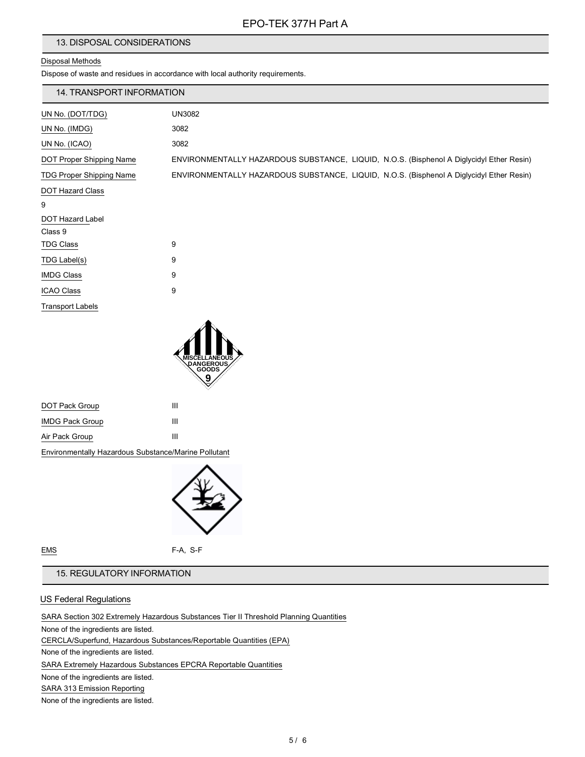# 13. DISPOSAL CONSIDERATIONS

# Disposal Methods

Dispose of waste and residues in accordance with local authority requirements.

| 14. TRANSPORT INFORMATION       |                                                                                          |
|---------------------------------|------------------------------------------------------------------------------------------|
| UN No. (DOT/TDG)                | <b>UN3082</b>                                                                            |
| UN No. (IMDG)                   | 3082                                                                                     |
| UN No. (ICAO)                   | 3082                                                                                     |
| DOT Proper Shipping Name        | ENVIRONMENTALLY HAZARDOUS SUBSTANCE, LIQUID, N.O.S. (Bisphenol A Diglycidyl Ether Resin) |
| <b>TDG Proper Shipping Name</b> | ENVIRONMENTALLY HAZARDOUS SUBSTANCE, LIQUID, N.O.S. (Bisphenol A Diglycidyl Ether Resin) |
| DOT Hazard Class                |                                                                                          |
| 9                               |                                                                                          |
| DOT Hazard Label                |                                                                                          |
| Class 9                         |                                                                                          |
| <b>TDG Class</b>                | 9                                                                                        |
| TDG Label(s)                    | 9                                                                                        |
| <b>IMDG Class</b>               | 9                                                                                        |
| <b>ICAO Class</b>               | 9                                                                                        |
| <b>Transport Labels</b>         |                                                                                          |



| DOT Pack Group         | ш |
|------------------------|---|
| <b>IMDG Pack Group</b> | Ш |
| Air Pack Group         | ш |

Environmentally Hazardous Substance/Marine Pollutant



EMS F-A, S-F

# 15. REGULATORY INFORMATION

## US Federal Regulations

SARA Section 302 Extremely Hazardous Substances Tier II Threshold Planning Quantities None of the ingredients are listed. CERCLA/Superfund, Hazardous Substances/Reportable Quantities (EPA) None of the ingredients are listed. SARA Extremely Hazardous Substances EPCRA Reportable Quantities None of the ingredients are listed. SARA 313 Emission Reporting None of the ingredients are listed.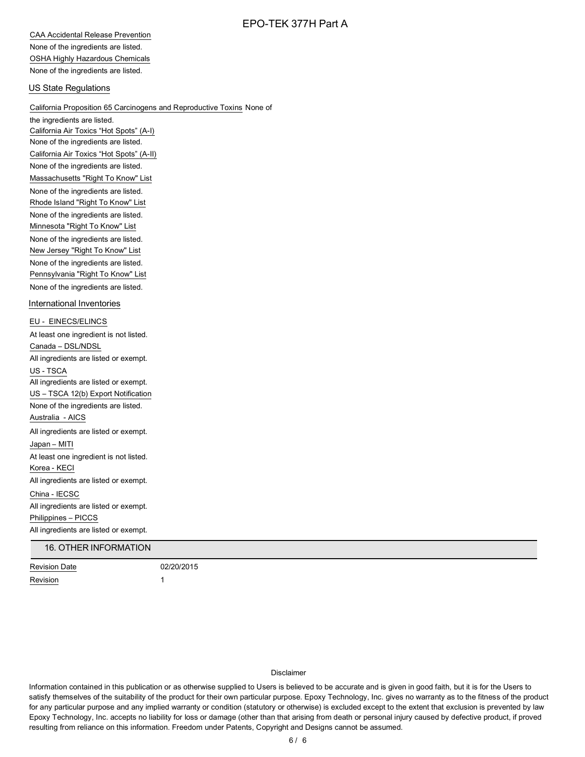CAA Accidental Release Prevention None of the ingredients are listed. OSHA Highly Hazardous Chemicals None of the ingredients are listed.

### US State Regulations

California Proposition 65 Carcinogens and Reproductive Toxins None of the ingredients are listed. California Air Toxics "Hot Spots" (A-I) None of the ingredients are listed. California Air Toxics "Hot Spots" (A-II) None of the ingredients are listed. Massachusetts "Right To Know" List None of the ingredients are listed. Rhode Island "Right To Know" List None of the ingredients are listed. Minnesota "Right To Know" List None of the ingredients are listed. New Jersey "Right To Know" List None of the ingredients are listed. Pennsylvania "Right To Know" List None of the ingredients are listed. International Inventories EU - EINECS/ELINCS At least one ingredient is not listed. Canada – DSL/NDSL All ingredients are listed or exempt. US - TSCA All ingredients are listed or exempt. US – TSCA 12(b) Export Notification None of the ingredients are listed. Australia - AICS All ingredients are listed or exempt. Japan – MITI At least one ingredient is not listed. Korea - KECI All ingredients are listed or exempt. China - IECSC All ingredients are listed or exempt. Philippines – PICCS All ingredients are listed or exempt.

# 16. OTHER INFORMATION

Revision Date 02/20/2015 Revision 1

#### Disclaimer

Information contained in this publication or as otherwise supplied to Users is believed to be accurate and is given in good faith, but it is for the Users to satisfy themselves of the suitability of the product for their own particular purpose. Epoxy Technology, Inc. gives no warranty as to the fitness of the product for any particular purpose and any implied warranty or condition (statutory or otherwise) is excluded except to the extent that exclusion is prevented by law Epoxy Technology, Inc. accepts no liability for loss or damage (other than that arising from death or personal injury caused by defective product, if proved resulting from reliance on this information. Freedom under Patents, Copyright and Designs cannot be assumed.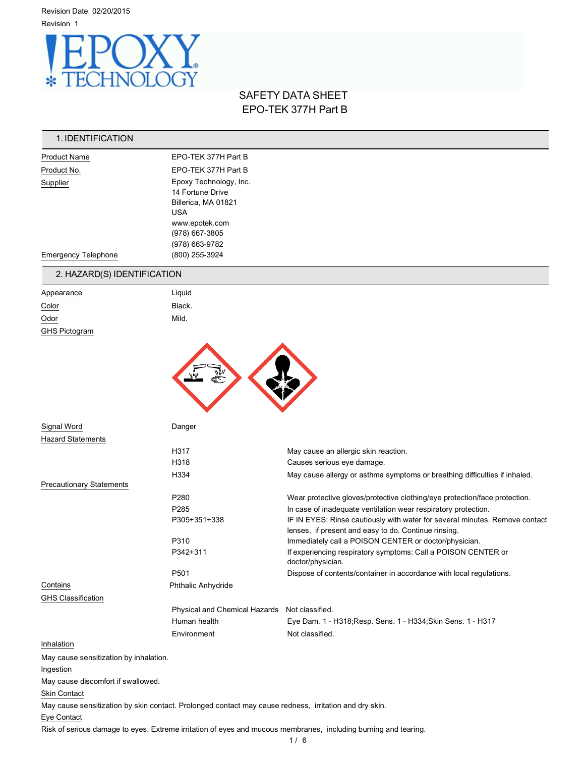Revision Date 02/20/2015 Revision 1



# SAFETY DATA SHEET EPO-TEK 377H Part B

| 1. IDENTIFICATION                                                                                      |                                                                                 |                                                                                                                 |
|--------------------------------------------------------------------------------------------------------|---------------------------------------------------------------------------------|-----------------------------------------------------------------------------------------------------------------|
| <b>Product Name</b>                                                                                    | EPO-TEK 377H Part B                                                             |                                                                                                                 |
| Product No.                                                                                            | EPO-TEK 377H Part B                                                             |                                                                                                                 |
| Supplier                                                                                               | Epoxy Technology, Inc.<br>14 Fortune Drive<br>Billerica, MA 01821<br><b>USA</b> |                                                                                                                 |
|                                                                                                        | www.epotek.com                                                                  |                                                                                                                 |
|                                                                                                        | (978) 667-3805<br>(978) 663-9782                                                |                                                                                                                 |
| <b>Emergency Telephone</b>                                                                             | (800) 255-3924                                                                  |                                                                                                                 |
| 2. HAZARD(S) IDENTIFICATION                                                                            |                                                                                 |                                                                                                                 |
| Appearance                                                                                             | Liquid                                                                          |                                                                                                                 |
| Color                                                                                                  | Black.                                                                          |                                                                                                                 |
| Odor                                                                                                   | Mild.                                                                           |                                                                                                                 |
| GHS Pictogram                                                                                          |                                                                                 |                                                                                                                 |
|                                                                                                        |                                                                                 |                                                                                                                 |
| Signal Word                                                                                            | Danger                                                                          |                                                                                                                 |
| <b>Hazard Statements</b>                                                                               |                                                                                 |                                                                                                                 |
|                                                                                                        | H317                                                                            | May cause an allergic skin reaction.                                                                            |
|                                                                                                        | H318                                                                            | Causes serious eye damage.                                                                                      |
| <b>Precautionary Statements</b>                                                                        | H334                                                                            | May cause allergy or asthma symptoms or breathing difficulties if inhaled.                                      |
|                                                                                                        | P280                                                                            | Wear protective gloves/protective clothing/eye protection/face protection.                                      |
|                                                                                                        | P285                                                                            | In case of inadequate ventilation wear respiratory protection.                                                  |
|                                                                                                        | P305+351+338                                                                    | IF IN EYES: Rinse cautiously with water for several minutes. Remove contact                                     |
|                                                                                                        |                                                                                 | lenses, if present and easy to do. Continue rinsing.                                                            |
|                                                                                                        | P310                                                                            | Immediately call a POISON CENTER or doctor/physician.                                                           |
|                                                                                                        | P342+311                                                                        | If experiencing respiratory symptoms: Call a POISON CENTER or<br>doctor/physician.                              |
|                                                                                                        | P501                                                                            | Dispose of contents/container in accordance with local regulations.                                             |
| Contains                                                                                               | Phthalic Anhydride                                                              |                                                                                                                 |
| <b>GHS Classification</b>                                                                              |                                                                                 |                                                                                                                 |
|                                                                                                        | Physical and Chemical Hazards Not classified.                                   |                                                                                                                 |
|                                                                                                        | Human health                                                                    | Eye Dam. 1 - H318; Resp. Sens. 1 - H334; Skin Sens. 1 - H317                                                    |
| Inhalation                                                                                             | Environment                                                                     | Not classified.                                                                                                 |
|                                                                                                        |                                                                                 |                                                                                                                 |
| May cause sensitization by inhalation.<br>Ingestion                                                    |                                                                                 |                                                                                                                 |
| May cause discomfort if swallowed.                                                                     |                                                                                 |                                                                                                                 |
| Skin Contact                                                                                           |                                                                                 |                                                                                                                 |
| May cause sensitization by skin contact. Prolonged contact may cause redness, irritation and dry skin. |                                                                                 |                                                                                                                 |
| Eye Contact                                                                                            |                                                                                 |                                                                                                                 |
|                                                                                                        |                                                                                 | Risk of serious damage to eyes. Extreme irritation of eyes and mucous membranes, including burning and tearing. |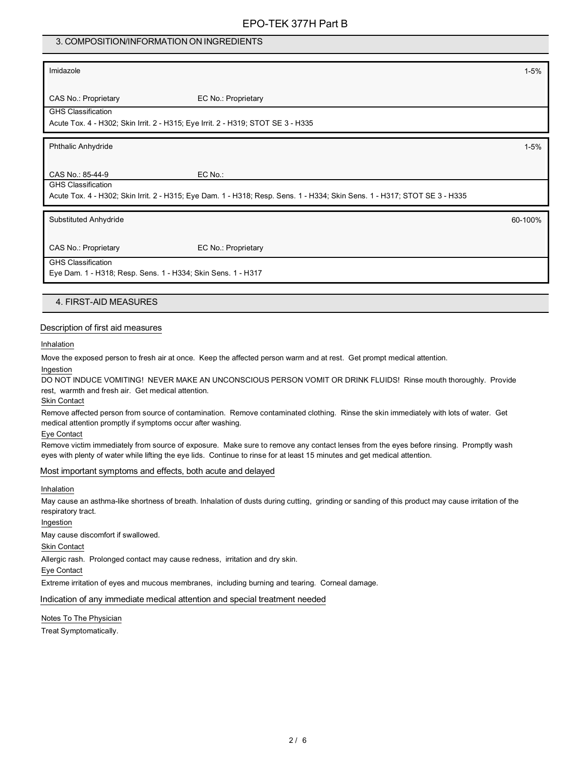## 3. COMPOSITION/INFORMATION ON INGREDIENTS

### Imidazole 1-5%

CAS No.: Proprietary EC No.: Proprietary

GHS Classification

Acute Tox. 4 - H302; Skin Irrit. 2 - H315; Eye Irrit. 2 - H319; STOT SE 3 - H335

Phthalic Anhydride 1-5%

CAS No.: 85-44-9 EC No.: GHS Classification

Acute Tox. 4 - H302; Skin Irrit. 2 - H315; Eye Dam. 1 - H318; Resp. Sens. 1 - H334; Skin Sens. 1 - H317; STOT SE 3 - H335

Substituted Anhydride 60-100%

CAS No.: Proprietary EC No.: Proprietary

GHS Classification

Eye Dam. 1 - H318; Resp. Sens. 1 - H334; Skin Sens. 1 - H317

### 4. FIRST-AID MEASURES

### Description of first aid measures

Inhalation

Move the exposed person to fresh air at once. Keep the affected person warm and at rest. Get prompt medical attention.

## Ingestion

DO NOT INDUCE VOMITING! NEVER MAKE AN UNCONSCIOUS PERSON VOMIT OR DRINK FLUIDS! Rinse mouth thoroughly. Provide rest, warmth and fresh air. Get medical attention.

Skin Contact

Remove affected person from source of contamination. Remove contaminated clothing. Rinse the skin immediately with lots of water. Get medical attention promptly if symptoms occur after washing.

Eye Contact

Remove victim immediately from source of exposure. Make sure to remove any contact lenses from the eyes before rinsing. Promptly wash eyes with plenty of water while lifting the eye lids. Continue to rinse for at least 15 minutes and get medical attention.

### Most important symptoms and effects, both acute and delayed

Inhalation

May cause an asthma-like shortness of breath. Inhalation of dusts during cutting, grinding or sanding of this product may cause irritation of the respiratory tract.

Ingestion

May cause discomfort if swallowed.

Skin Contact

Allergic rash. Prolonged contact may cause redness, irritation and dry skin.

Eye Contact

Extreme irritation of eyes and mucous membranes, including burning and tearing. Corneal damage.

Indication of any immediate medical attention and special treatment needed

### Notes To The Physician

Treat Symptomatically.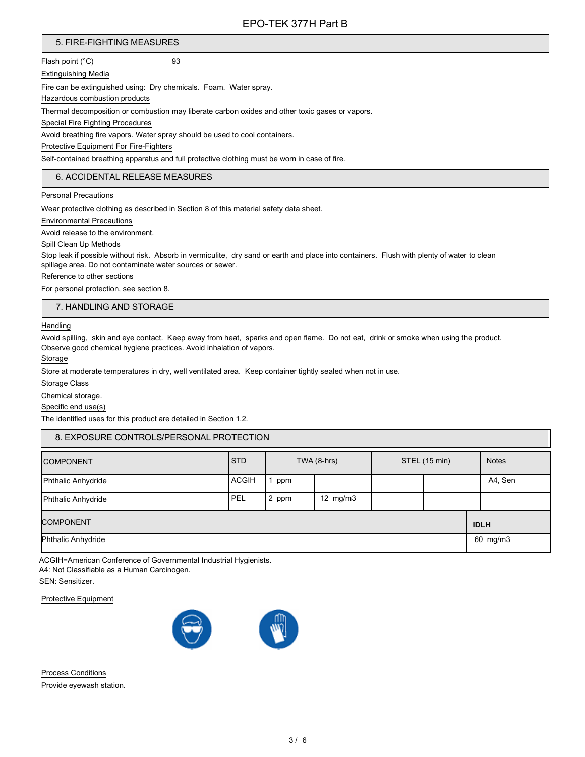# 5. FIRE-FIGHTING MEASURES

Flash point (°C) 93

Extinguishing Media

Fire can be extinguished using: Dry chemicals. Foam. Water spray.

Hazardous combustion products

Thermal decomposition or combustion may liberate carbon oxides and other toxic gases or vapors.

Special Fire Fighting Procedures

Avoid breathing fire vapors. Water spray should be used to cool containers.

Protective Equipment For Fire-Fighters

Self-contained breathing apparatus and full protective clothing must be worn in case of fire.

## 6. ACCIDENTAL RELEASE MEASURES

Personal Precautions

Wear protective clothing as described in Section 8 of this material safety data sheet.

Environmental Precautions

Avoid release to the environment.

Spill Clean Up Methods

Stop leak if possible without risk. Absorb in vermiculite, dry sand or earth and place into containers. Flush with plenty of water to clean spillage area. Do not contaminate water sources or sewer.

Reference to other sections

For personal protection, see section 8.

7. HANDLING AND STORAGE

**Handling** 

Avoid spilling, skin and eye contact. Keep away from heat, sparks and open flame. Do not eat, drink or smoke when using the product. Observe good chemical hygiene practices. Avoid inhalation of vapors.

Storage

Store at moderate temperatures in dry, well ventilated area. Keep container tightly sealed when not in use.

Storage Class

Chemical storage.

Specific end use(s)

The identified uses for this product are detailed in Section 1.2.

| 8. EXPOSURE CONTROLS/PERSONAL PROTECTION |              |                              |            |              |             |         |
|------------------------------------------|--------------|------------------------------|------------|--------------|-------------|---------|
| <b>COMPONENT</b>                         | <b>STD</b>   | TWA (8-hrs)<br>STEL (15 min) |            | <b>Notes</b> |             |         |
| <b>Phthalic Anhydride</b>                | <b>ACGIH</b> | ppm                          |            |              |             | A4, Sen |
| Phthalic Anhydride                       | PEL          | 2 ppm                        | 12 $mg/m3$ |              |             |         |
| <b>COMPONENT</b>                         |              |                              |            |              | <b>IDLH</b> |         |
| Phthalic Anhydride                       |              |                              |            | 60 mg/m3     |             |         |

ACGIH=American Conference of Governmental Industrial Hygienists.

A4: Not Classifiable as a Human Carcinogen.

SEN: Sensitizer.

Protective Equipment



Process Conditions Provide eyewash station.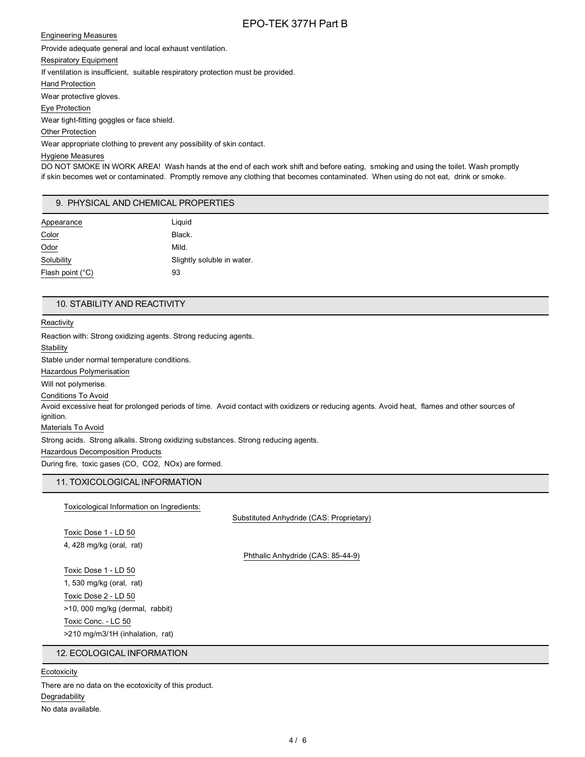### Engineering Measures

Provide adequate general and local exhaust ventilation.

Respiratory Equipment

If ventilation is insufficient, suitable respiratory protection must be provided.

Hand Protection

Wear protective gloves.

Eye Protection

Wear tight-fitting goggles or face shield.

Other Protection

Wear appropriate clothing to prevent any possibility of skin contact.

### Hygiene Measures

DO NOT SMOKE IN WORK AREA! Wash hands at the end of each work shift and before eating, smoking and using the toilet. Wash promptly if skin becomes wet or contaminated. Promptly remove any clothing that becomes contaminated. When using do not eat, drink or smoke.

## 9. PHYSICAL AND CHEMICAL PROPERTIES

| Appearance                | Liguid                     |
|---------------------------|----------------------------|
| Color                     | Black.                     |
| Odor                      | Mild.                      |
| Solubility                | Slightly soluble in water. |
| Flash point $(^{\circ}C)$ | 93                         |

### 10. STABILITY AND REACTIVITY

**Reactivity** 

Reaction with: Strong oxidizing agents. Strong reducing agents. **Stability** Stable under normal temperature conditions. Hazardous Polymerisation Will not polymerise. Conditions To Avoid Avoid excessive heat for prolonged periods of time. Avoid contact with oxidizers or reducing agents. Avoid heat, flames and other sources of ignition. Materials To Avoid Strong acids. Strong alkalis. Strong oxidizing substances. Strong reducing agents. Hazardous Decomposition Products During fire, toxic gases (CO, CO2, NOx) are formed.

# 11. TOXICOLOGICAL INFORMATION

Toxicological Information on Ingredients:

Substituted Anhydride (CAS: Proprietary)

Toxic Dose 1 - LD 50 4, 428 mg/kg (oral, rat)

Phthalic Anhydride (CAS: 85-44-9)

Toxic Dose 1 - LD 50 1, 530 mg/kg (oral, rat) Toxic Dose 2 - LD 50 >10, 000 mg/kg (dermal, rabbit) Toxic Conc. - LC 50 >210 mg/m3/1H (inhalation, rat)

## 12. ECOLOGICAL INFORMATION

**Ecotoxicity** 

There are no data on the ecotoxicity of this product. Degradability No data available.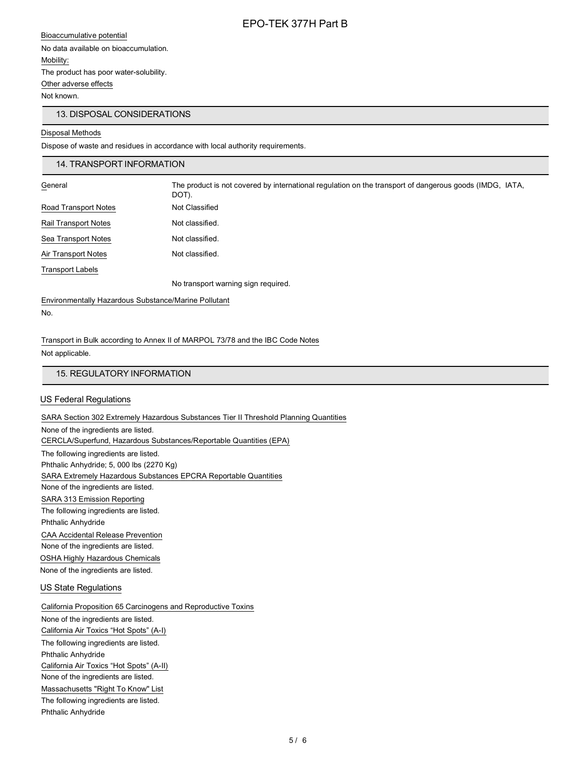Bioaccumulative potential No data available on bioaccumulation. Mobility: The product has poor water-solubility. Other adverse effects Not known.

## 13. DISPOSAL CONSIDERATIONS

### Disposal Methods

Dispose of waste and residues in accordance with local authority requirements.

### 14. TRANSPORT INFORMATION

| General              | The product is not covered by international regulation on the transport of dangerous goods (IMDG, IATA,<br>DOT). |
|----------------------|------------------------------------------------------------------------------------------------------------------|
| Road Transport Notes | Not Classified                                                                                                   |
| Rail Transport Notes | Not classified.                                                                                                  |
| Sea Transport Notes  | Not classified.                                                                                                  |
| Air Transport Notes  | Not classified.                                                                                                  |
| Transport Labels     |                                                                                                                  |
|                      | No transport warning sign required.                                                                              |

### Environmentally Hazardous Substance/Marine Pollutant No.

Transport in Bulk according to Annex II of MARPOL 73/78 and the IBC Code Notes Not applicable.

## 15. REGULATORY INFORMATION

## US Federal Regulations

SARA Section 302 Extremely Hazardous Substances Tier II Threshold Planning Quantities

None of the ingredients are listed. CERCLA/Superfund, Hazardous Substances/Reportable Quantities (EPA) The following ingredients are listed. Phthalic Anhydride; 5, 000 lbs (2270 Kg) SARA Extremely Hazardous Substances EPCRA Reportable Quantities None of the ingredients are listed. SARA 313 Emission Reporting The following ingredients are listed. Phthalic Anhydride CAA Accidental Release Prevention

None of the ingredients are listed. OSHA Highly Hazardous Chemicals None of the ingredients are listed.

### US State Regulations

California Proposition 65 Carcinogens and Reproductive Toxins None of the ingredients are listed. California Air Toxics "Hot Spots" (A-I) The following ingredients are listed. Phthalic Anhydride California Air Toxics "Hot Spots" (A-II) None of the ingredients are listed. Massachusetts "Right To Know" List The following ingredients are listed. Phthalic Anhydride